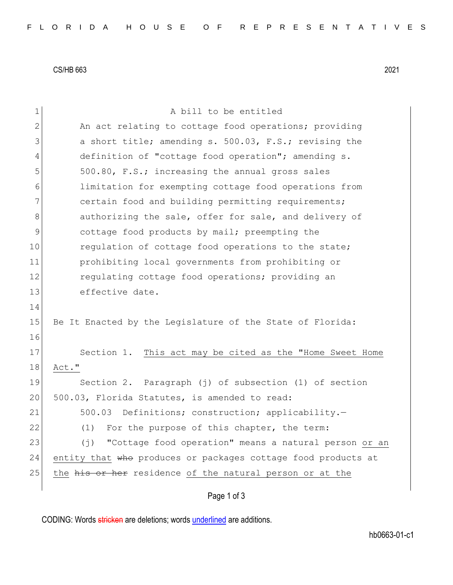CS/HB 663 2021

| $\mathbf 1$  | A bill to be entitled                                                |
|--------------|----------------------------------------------------------------------|
| $\mathbf{2}$ | An act relating to cottage food operations; providing                |
| 3            | a short title; amending s. 500.03, F.S.; revising the                |
| 4            | definition of "cottage food operation"; amending s.                  |
| 5            | 500.80, F.S.; increasing the annual gross sales                      |
| 6            | limitation for exempting cottage food operations from                |
| 7            | certain food and building permitting requirements;                   |
| 8            | authorizing the sale, offer for sale, and delivery of                |
| 9            | cottage food products by mail; preempting the                        |
| 10           | requlation of cottage food operations to the state;                  |
| 11           | prohibiting local governments from prohibiting or                    |
| 12           | regulating cottage food operations; providing an                     |
| 13           | effective date.                                                      |
| 14           |                                                                      |
| 15           | Be It Enacted by the Legislature of the State of Florida:            |
| 16           |                                                                      |
| 17           | Section 1. This act may be cited as the "Home Sweet Home             |
| 18           | Act."                                                                |
| 19           | Section 2. Paragraph (j) of subsection (1) of section                |
| 20           | 500.03, Florida Statutes, is amended to read:                        |
| 21           | 500.03<br>Definitions; construction; applicability.-                 |
| 22           | (1) For the purpose of this chapter, the term:                       |
| 23           | "Cottage food operation" means a natural person or an<br>$(\dagger)$ |
| 24           | entity that who produces or packages cottage food products at        |
| 25           | the his or her residence of the natural person or at the             |
|              | Page 1 of 3                                                          |
|              |                                                                      |

CODING: Words stricken are deletions; words underlined are additions.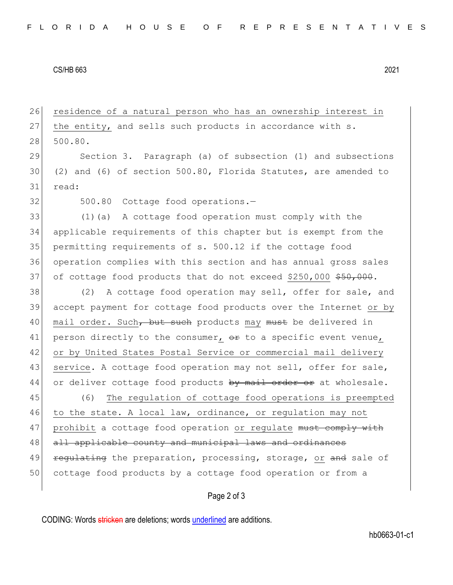## CS/HB 663 2021

26 residence of a natural person who has an ownership interest in 27 the entity, and sells such products in accordance with s. 28 500.80.

29 Section 3. Paragraph (a) of subsection (1) and subsections 30 (2) and (6) of section 500.80, Florida Statutes, are amended to 31 read:

32 500.80 Cottage food operations.

 (1)(a) A cottage food operation must comply with the applicable requirements of this chapter but is exempt from the permitting requirements of s. 500.12 if the cottage food operation complies with this section and has annual gross sales 37 of cottage food products that do not exceed \$250,000  $$50,000$ 

38 (2) A cottage food operation may sell, offer for sale, and 39 accept payment for cottage food products over the Internet or by 40 mail order. Such, but such products may must be delivered in 41 person directly to the consumer,  $\theta$  to a specific event venue, 42 or by United States Postal Service or commercial mail delivery 43 service. A cottage food operation may not sell, offer for sale, 44 or deliver cottage food products by mail order or at wholesale.

45 (6) The regulation of cottage food operations is preempted 46 to the state. A local law, ordinance, or regulation may not 47 prohibit a cottage food operation or regulate must comply with 48 all applicable county and municipal laws and ordinances 49 regulating the preparation, processing, storage, or and sale of 50 cottage food products by a cottage food operation or from a

## Page 2 of 3

CODING: Words stricken are deletions; words underlined are additions.